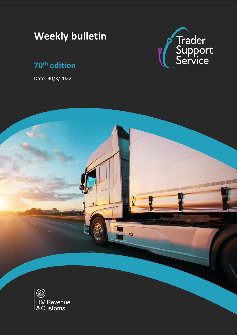# **Weekly bulletin**

## **70th edition**

Date: 30/3/2022



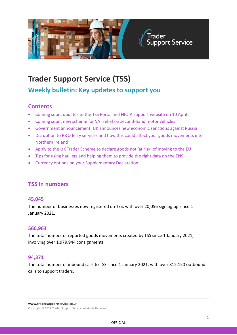

## **Trader Support Service (TSS)**

## **Weekly bulletin: Key updates to support you**

#### **Contents**

- [Coming soon: updates to the TSS Portal and NICTA support website on 10 April](#page-2-0)
- [Coming soon: new scheme for VAT relief on second-hand motor vehicles](#page-2-0)
- [Government announcement: UK announces new economic sanctions against Russia](#page-2-1)
- [Disruption to P&O ferry services and how this could affect your goods movements into](#page-4-0)  [Northern Ireland](#page-4-0)
- [Apply to the UK Trader Scheme to declare goods not 'at risk' of moving to the EU](#page-6-0)
- [Tips for using hauliers and helping them to provide the right data on the ENS](#page-5-0)
- [Currency options on your Supplementary Declaration](#page-6-1)

#### **TSS in numbers**

#### **45,045**

The number of businesses now registered on TSS, with over 20,056 signing up since 1 January 2021.

#### **560,963**

The total number of reported goods movements created by TSS since 1 January 2021, involving over 1,979,944 consignments.

#### **94,371**

The total number of inbound calls to TSS since 1 January 2021, with over 312,150 outbound calls to support traders.

**www.tradersupportservice.co.uk**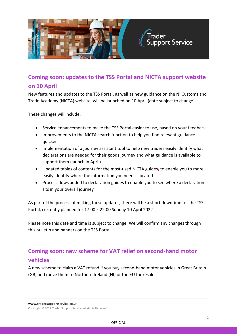

## <span id="page-2-0"></span>**Coming soon: updates to the TSS Portal and NICTA support website on 10 April**

New features and updates to the TSS Portal, as well as new guidance on the NI Customs and Trade Academy (NICTA) website, will be launched on 10 April (date subject to change).

These changes will include:

- Service enhancements to make the TSS Portal easier to use, based on your feedback
- Improvements to the NICTA search function to help you find relevant guidance quicker
- Implementation of a journey assistant tool to help new traders easily identify what declarations are needed for their goods journey and what guidance is available to support them (launch in April)
- Updated tables of contents for the most-used NICTA guides, to enable you to more easily identify where the information you need is located
- Process flows added to declaration guides to enable you to see where a declaration sits in your overall journey

As part of the process of making these updates, there will be a short downtime for the TSS Portal, currently planned for 17.00 – 22.00 Sunday 10 April 2022

Please note this date and time is subject to change. We will confirm any changes through this bulletin and banners on the TSS Portal.

## <span id="page-2-1"></span>**Coming soon: new scheme for VAT relief on second-hand motor vehicles**

A new scheme to claim a VAT refund if you buy second-hand motor vehicles in Great Britain (GB) and move them to Northern Ireland (NI) or the EU for resale.

**www.tradersupportservice.co.uk**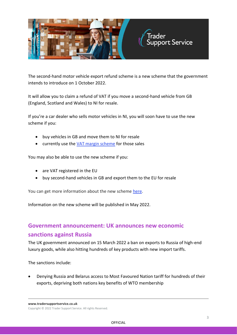

The second-hand motor vehicle export refund scheme is a new scheme that the government intends to introduce on 1 October 2022.

It will allow you to claim a refund of VAT if you move a second-hand vehicle from GB (England, Scotland and Wales) to NI for resale.

If you're a car dealer who sells motor vehicles in NI, you will soon have to use the new scheme if you:

- buy vehicles in GB and move them to NI for resale
- currently use the [VAT margin scheme](https://www.gov.uk/guidance/using-the-vat-margin-scheme-for-second-hand-vehicles) for those sales

You may also be able to use the new scheme if you:

- are VAT registered in the EU
- buy second-hand vehicles in GB and export them to the EU for resale

You can get more information about the new scheme [here.](https://www.gov.uk/guidance/prepare-for-the-second-hand-motor-vehicle-export-refund-scheme)

Information on the new scheme will be published in May 2022.

## **Government announcement: UK announces new economic sanctions against Russia**

The UK government announced on 15 March 2022 a ban on exports to Russia of high-end luxury goods, while also hitting hundreds of key products with new import tariffs.

The sanctions include:

• Denying Russia and Belarus access to Most Favoured Nation tariff for hundreds of their exports, depriving both nations key benefits of WTO membership

**www.tradersupportservice.co.uk**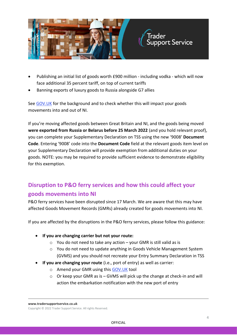

- Publishing an initial list of goods worth £900 million including vodka which will now face additional 35 percent tariff, on top of current tariffs
- Banning exports of luxury goods to Russia alongside G7 allies

See GOV. UK for the background and to check whether this will impact your goods movements into and out of NI.

If you're moving affected goods between Great Britain and NI, and the goods being moved **were exported from Russia or Belarus before 25 March 2022** (and you hold relevant proof), you can complete your Supplementary Declaration on TSS using the new '9008' **Document Code**. Entering '9008' code into the **Document Code** field at the relevant goods item level on your Supplementary Declaration will provide exemption from additional duties on your goods. NOTE: you may be required to provide sufficient evidence to demonstrate eligibility for this exemption.

## <span id="page-4-0"></span>**Disruption to P&O ferry services and how this could affect your goods movements into NI**

P&O ferry services have been disrupted since 17 March. We are aware that this may have affected Goods Movement Records (GMRs) already created for goods movements into NI.

If you are affected by the disruptions in the P&O ferry services, please follow this guidance:

- **If you are changing carrier but not your route:**
	- $\circ$  You do not need to take any action your GMR is still valid as is
	- o You do not need to update anything in Goods Vehicle Management System (GVMS) and you should not recreate your Entry Summary Declaration in TSS
- **If you are changing your route** (i.e., port of entry) as well as carrier:
	- o Amend your GMR using this [GOV.UK](https://developer.service.hmrc.gov.uk/guides/gvms-end-to-end-service-guide/documentation/create-update-gmr.html#creating-a-gmr-for-an-upcoming-goods-vehicle-movement-crossing) tool
	- o Or keep your GMR as is GVMS will pick up the change at check-in and will action the embarkation notification with the new port of entry

**www.tradersupportservice.co.uk**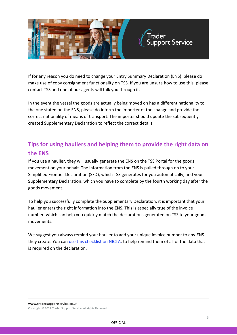

If for any reason you do need to change your Entry Summary Declaration (ENS), please do make use of copy consignment functionality on TSS. If you are unsure how to use this, please contact TSS and one of our agents will talk you through it.

In the event the vessel the goods are actually being moved on has a different nationality to the one stated on the ENS, please do inform the importer of the change and provide the correct nationality of means of transport. The importer should update the subsequently created Supplementary Declaration to reflect the correct details.

## <span id="page-5-0"></span>**Tips for using hauliers and helping them to provide the right data on the ENS**

If you use a haulier, they will usually generate the ENS on the TSS Portal for the goods movement on your behalf. The information from the ENS is pulled through on to your Simplified Frontier Declaration (SFD), which TSS generates for you automatically, and your Supplementary Declaration, which you have to complete by the fourth working day after the goods movement.

To help you successfully complete the Supplementary Declaration, it is important that your haulier enters the right information into the ENS. This is especially true of the invoice number, which can help you quickly match the declarations generated on TSS to your goods movements.

We suggest you always remind your haulier to add your unique invoice number to any ENS they create. You can [use this checklist on NICTA,](https://www.nicustomstradeacademy.co.uk/pdf/checklist-haulier-and-ens/) to help remind them of all of the data that is required on the declaration.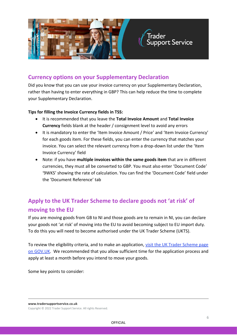

#### <span id="page-6-1"></span>**Currency options on your Supplementary Declaration**

Did you know that you can use your invoice currency on your Supplementary Declaration, rather than having to enter everything in GBP? This can help reduce the time to complete your Supplementary Declaration.

#### **Tips for filling the Invoice Currency fields in TSS:**

- It is recommended that you leave the **Total Invoice Amount** and **Total Invoice Currency** fields blank at the header / consignment level to avoid any errors
- It is mandatory to enter the 'Item Invoice Amount / Price' and 'Item Invoice Currency' for each goods item. For these fields, you can enter the currency that matches your invoice. You can select the relevant currency from a drop-down list under the 'Item Invoice Currency' field
- Note: if you have **multiple invoices within the same goods item** that are in different currencies, they must all be converted to GBP. You must also enter 'Document Code' '9WKS' showing the rate of calculation. You can find the 'Document Code' field under the 'Document Reference' tab

## <span id="page-6-0"></span>**Apply to the UK Trader Scheme to declare goods not 'at risk' of moving to the EU**

If you are moving goods from GB to NI and those goods are to remain in NI, you can declare your goods not 'at risk' of moving into the EU to avoid becoming subject to EU import duty. To do this you will need to become authorised under the UK Trader Scheme (UKTS).

To review the eligibility criteria, and to make an application, [visit the UK Trader Scheme page](https://www.gov.uk/guidance/apply-for-authorisation-for-the-uk-trader-scheme-if-you-bring-goods-into-northern-ireland)  [on GOV.UK.](https://www.gov.uk/guidance/apply-for-authorisation-for-the-uk-trader-scheme-if-you-bring-goods-into-northern-ireland) We recommended that you allow sufficient time for the application process and apply at least a month before you intend to move your goods.

Some key points to consider:

**www.tradersupportservice.co.uk** Copyright © 2022 Trader Support Service. All rights Reserved.